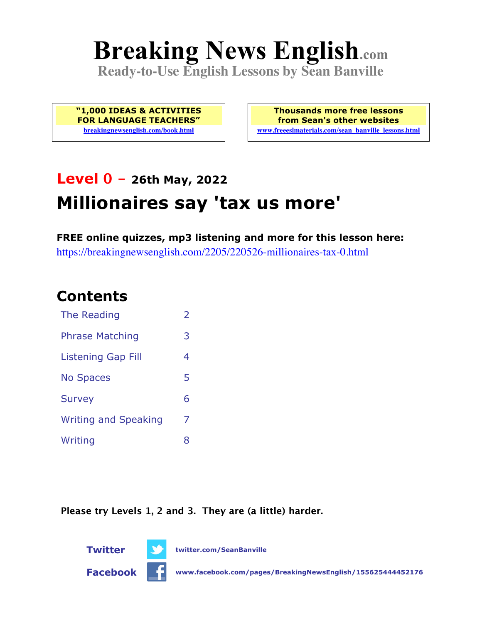# **Breaking News English.com**

**Ready-to-Use English Lessons by Sean Banville**

**"1,000 IDEAS & ACTIVITIES FOR LANGUAGE TEACHERS" breakingnewsenglish.com/book.html**

**Thousands more free lessons from Sean's other websites www.freeeslmaterials.com/sean\_banville\_lessons.html**

# **Level 0 - 26th May, 2022 Millionaires say 'tax us more'**

**FREE online quizzes, mp3 listening and more for this lesson here:** https://breakingnewsenglish.com/2205/220526-millionaires-tax-0.html

### **Contents**

| The Reading                 | $\mathcal{P}$ |
|-----------------------------|---------------|
| <b>Phrase Matching</b>      | З             |
| <b>Listening Gap Fill</b>   | 4             |
| <b>No Spaces</b>            | 5             |
| <b>Survey</b>               | 6             |
| <b>Writing and Speaking</b> | 7             |
| Writing                     | x             |

**Please try Levels 1, 2 and 3. They are (a little) harder.**



**Twitter twitter.com/SeanBanville**

**Facebook www.facebook.com/pages/BreakingNewsEnglish/155625444452176**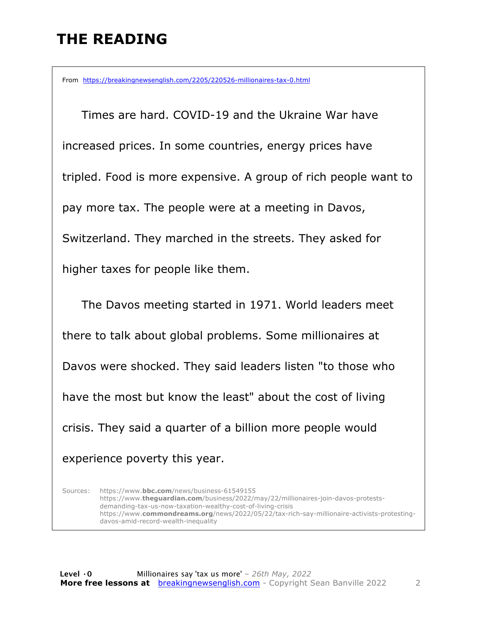#### **THE READING**

From https://breakingnewsenglish.com/2205/220526-millionaires-tax-0.html

 Times are hard. COVID-19 and the Ukraine War have increased prices. In some countries, energy prices have tripled. Food is more expensive. A group of rich people want to pay more tax. The people were at a meeting in Davos, Switzerland. They marched in the streets. They asked for higher taxes for people like them.

 The Davos meeting started in 1971. World leaders meet there to talk about global problems. Some millionaires at Davos were shocked. They said leaders listen "to those who have the most but know the least" about the cost of living crisis. They said a quarter of a billion more people would experience poverty this year.

Sources: https://www.**bbc.com**/news/business-61549155 https://www.**theguardian.com**/business/2022/may/22/millionaires-join-davos-protestsdemanding-tax-us-now-taxation-wealthy-cost-of-living-crisis https://www.**commondreams.org**/news/2022/05/22/tax-rich-say-millionaire-activists-protestingdavos-amid-record-wealth-inequality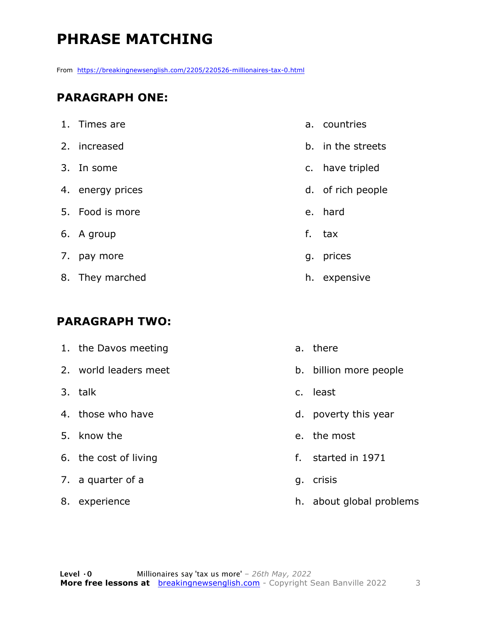## **PHRASE MATCHING**

From https://breakingnewsenglish.com/2205/220526-millionaires-tax-0.html

#### **PARAGRAPH ONE:**

| 1. Times are     |    | a. countries      |
|------------------|----|-------------------|
| 2. increased     |    | b. in the streets |
| 3. In some       |    | c. have tripled   |
| 4. energy prices |    | d. of rich people |
| 5. Food is more  |    | e. hard           |
| 6. A group       | f. | tax               |
| 7. pay more      |    | g. prices         |
| 8. They marched  | h. | expensive         |

#### **PARAGRAPH TWO:**

| 1. the Davos meeting  |                | a. there                 |
|-----------------------|----------------|--------------------------|
| 2. world leaders meet | b.             | billion more people      |
| 3. talk               | $\mathsf{C}$ . | least                    |
| 4. those who have     |                | d. poverty this year     |
| 5. know the           |                | e. the most              |
| 6. the cost of living | f.             | started in 1971          |
| 7. a quarter of a     | g.             | crisis                   |
| 8. experience         |                | h. about global problems |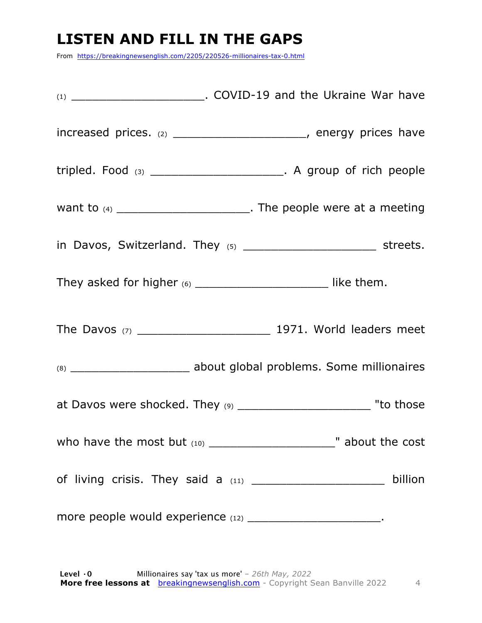#### **LISTEN AND FILL IN THE GAPS**

From https://breakingnewsenglish.com/2205/220526-millionaires-tax-0.html

| increased prices. $(2)$ __________________________, energy prices have     |         |
|----------------------------------------------------------------------------|---------|
| tripled. Food $(3)$ ________________________. A group of rich people       |         |
| want to $(4)$ ___________________________. The people were at a meeting    |         |
|                                                                            |         |
|                                                                            |         |
|                                                                            |         |
|                                                                            |         |
| at Davos were shocked. They (9) ________________________________ "to those |         |
|                                                                            |         |
|                                                                            | billion |
| more people would experience (12) __________________________.              |         |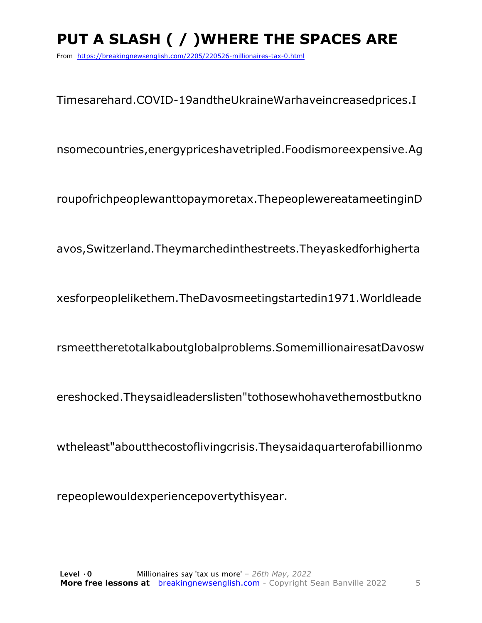## PUT A SLASH ( / ) WHERE THE SPACES ARE

From https://breakingnewsenglish.com/2205/220526-millionaires-tax-0.html

Timesarehard.COVID-19andtheUkraineWarhaveincreasedprices.I

nsomecountries, energy prices have tripled. Food is more expensive. Ag

roupofrichpeoplewanttopaymoretax. The people were atameeting in D

avos, Switzerland. They marched in the streets. They asked for higherta

xesforpeoplelikethem.TheDavosmeetingstartedin1971.Worldleade

rsmeettheretotalkaboutglobalproblems.SomemillionairesatDavosw

ereshocked. Theysaidleaderslisten "tothosewhohavethemostbutkno

wtheleast"aboutthecostofliving crisis. They said a quarter of a billion mo

repeoplewouldexperiencepovertythisyear.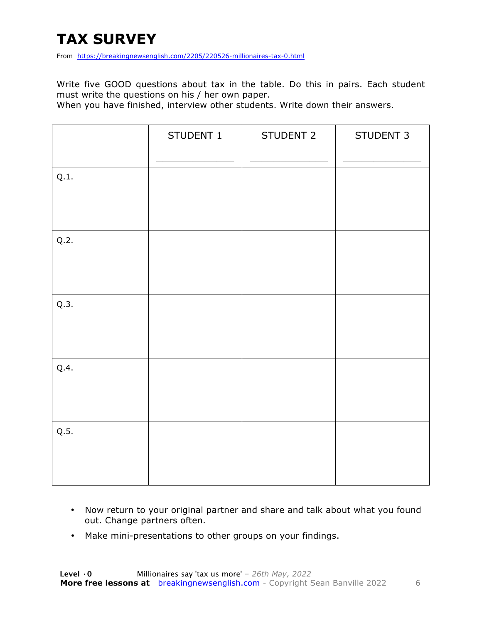# **TAX SURVEY**

From https://breakingnewsenglish.com/2205/220526-millionaires-tax-0.html

Write five GOOD questions about tax in the table. Do this in pairs. Each student must write the questions on his / her own paper.

When you have finished, interview other students. Write down their answers.

|      | STUDENT 1 | STUDENT 2 | STUDENT 3 |
|------|-----------|-----------|-----------|
| Q.1. |           |           |           |
| Q.2. |           |           |           |
| Q.3. |           |           |           |
| Q.4. |           |           |           |
| Q.5. |           |           |           |

- Now return to your original partner and share and talk about what you found out. Change partners often.
- Make mini-presentations to other groups on your findings.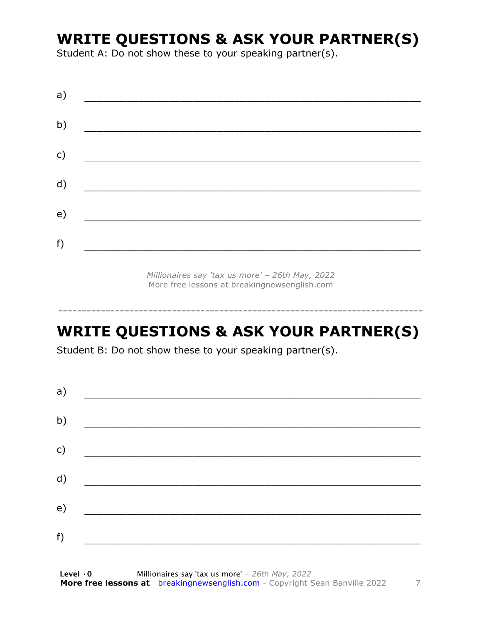#### **WRITE QUESTIONS & ASK YOUR PARTNER(S)**

Student A: Do not show these to your speaking partner(s).

| a)            |  |  |
|---------------|--|--|
| b)            |  |  |
| $\mathsf{c})$ |  |  |
| d)            |  |  |
| e)            |  |  |
| f)            |  |  |
|               |  |  |

*Millionaires say 'tax us more' – 26th May, 2022* More free lessons at breakingnewsenglish.com

-----------------------------------------------------------------------------

#### **WRITE QUESTIONS & ASK YOUR PARTNER(S)**

Student B: Do not show these to your speaking partner(s).

| a) |  |  |
|----|--|--|
| b) |  |  |
| c) |  |  |
| d) |  |  |
| e) |  |  |
| f) |  |  |
|    |  |  |